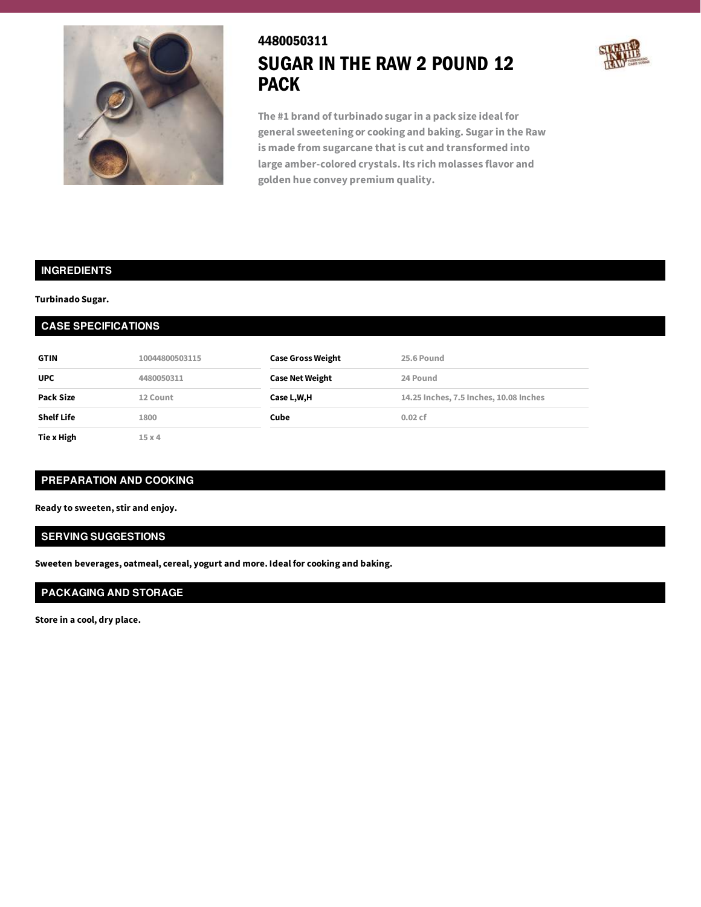

# 4480050311 SUGAR IN THE RAW 2 POUND 12 PACK



**The #1 brand of turbinado sugarin a pack size ideal for general sweetening or cooking and baking. Sugarin the Raw is made from sugarcane that is cut and transformed into large amber-colored crystals. Its rich molasses flavor and golden hue convey premium quality.**

#### **INGREDIENTS**

#### **Turbinado Sugar.**

### **CASE SPECIFICATIONS**

| <b>GTIN</b>       | 10044800503115 | <b>Case Gross Weight</b> | 25.6 Pound                             |
|-------------------|----------------|--------------------------|----------------------------------------|
| <b>UPC</b>        | 4480050311     | <b>Case Net Weight</b>   | 24 Pound                               |
| Pack Size         | 12 Count       | Case L,W,H               | 14.25 Inches, 7.5 Inches, 10.08 Inches |
| <b>Shelf Life</b> | 1800           | 0.02cf<br>Cube           |                                        |
| Tie x High        | 15x4           |                          |                                        |

# **PREPARATION AND COOKING**

**Ready to sweeten, stir and enjoy.**

#### **SERVING SUGGESTIONS**

**Sweeten beverages, oatmeal, cereal, yogurt and more. Ideal for cooking and baking.**

# **PACKAGING AND STORAGE**

**Store in a cool, dry place.**